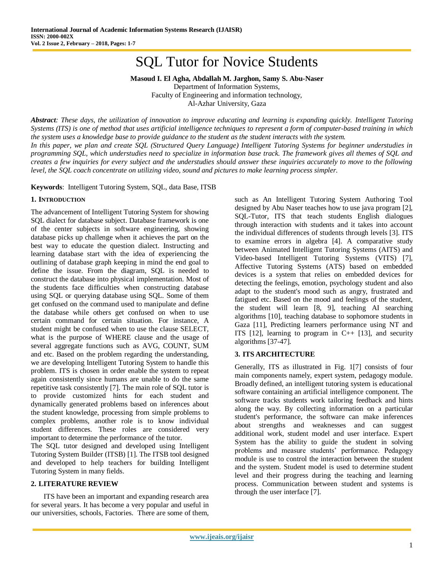# SQL Tutor for Novice Students

**Masoud I. El Agha, Abdallah M. Jarghon, Samy S. Abu-Naser**

Department of Information Systems, Faculty of Engineering and information technology, Al-Azhar University, Gaza

*Abstract: These days, the utilization of innovation to improve educating and learning is expanding quickly. Intelligent Tutoring Systems (ITS) is one of method that uses artificial intelligence techniques to represent a form of computer-based training in which the system uses a knowledge base to provide guidance to the student as the student interacts with the system. In this paper, we plan and create SQL (Structured Query Language) Intelligent Tutoring Systems for beginner understudies in programming SQL, which understudies need to specialize in information base track. The framework gives all themes of SQL and creates a few inquiries for every subject and the understudies should answer these inquiries accurately to move to the following* 

*level, the SQL coach concentrate on utilizing video, sound and pictures to make learning process simpler.*

**Keywords**: Intelligent Tutoring System, SQL, data Base, ITSB

## **1. INTRODUCTION**

The advancement of Intelligent Tutoring System for showing SQL dialect for database subject. Database framework is one of the center subjects in software engineering, showing database picks up challenge when it achieves the part on the best way to educate the question dialect. Instructing and learning database start with the idea of experiencing the outlining of database graph keeping in mind the end goal to define the issue. From the diagram, SQL is needed to construct the database into physical implementation. Most of the students face difficulties when constructing database using SQL or querying database using SQL. Some of them get confused on the command used to manipulate and define the database while others get confused on when to use certain command for certain situation. For instance, A student might be confused when to use the clause SELECT, what is the purpose of WHERE clause and the usage of several aggregate functions such as AVG, COUNT, SUM and etc. Based on the problem regarding the understanding, we are developing Intelligent Tutoring System to handle this problem. ITS is chosen in order enable the system to repeat again consistently since humans are unable to do the same repetitive task consistently [7]. The main role of SQL tutor is to provide customized hints for each student and dynamically generated problems based on inferences about the student knowledge, processing from simple problems to complex problems, another role is to know individual student differences. These roles are considered very important to determine the performance of the tutor.

The SQL tutor designed and developed using Intelligent Tutoring System Builder (ITSB) [1]. The ITSB tool designed and developed to help teachers for building Intelligent Tutoring System in many fields.

### **2. LITERATURE REVIEW**

ITS have been an important and expanding research area for several years. It has become a very popular and useful in our universities, schools, Factories. There are some of them,

such as An Intelligent Tutoring System Authoring Tool designed by Abu Naser teaches how to use java program [2], SQL-Tutor, ITS that teach students English dialogues through interaction with students and it takes into account the individual differences of students through levels [3]. ITS to examine errors in algebra [4]. A comparative study between Animated Intelligent Tutoring Systems (AITS) and Video-based Intelligent Tutoring Systems (VITS) [7], Affective Tutoring Systems (ATS) based on embedded devices is a system that relies on embedded devices for detecting the feelings, emotion, psychology student and also adapt to the student's mood such as angry, frustrated and fatigued etc. Based on the mood and feelings of the student, the student will learn [8, 9], teaching AI searching algorithms [10], teaching database to sophomore students in Gaza [11], Predicting learners performance using NT and ITS  $[12]$ , learning to program in C++  $[13]$ , and security algorithms [37-47].

### **3. ITS ARCHITECTURE**

Generally, ITS as illustrated in Fig. 1[7] consists of four main components namely, expert system, pedagogy module. Broadly defined, an intelligent tutoring system is educational software containing an artificial intelligence component. The software tracks students work tailoring feedback and hints along the way. By collecting information on a particular student's performance, the software can make inferences about strengths and weaknesses and can suggest additional work, student model and user interface. Expert System has the ability to guide the student in solving problems and measure students' performance. Pedagogy module is use to control the interaction between the student and the system. Student model is used to determine student level and their progress during the teaching and learning process. Communication between student and systems is through the user interface [7].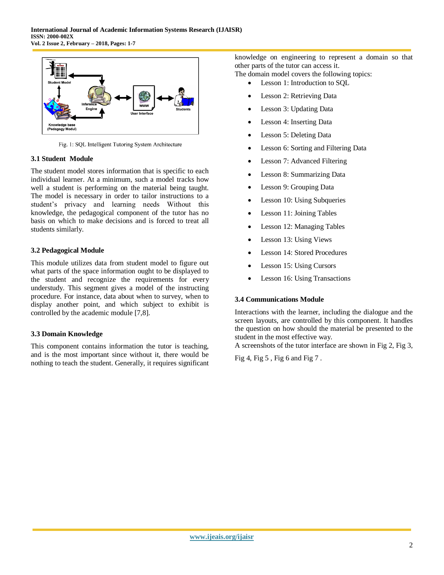

Fig. 1: SQL Intelligent Tutoring System Architecture

# **3.1 Student Module**

The student model stores information that is specific to each individual learner. At a minimum, such a model tracks how well a student is performing on the material being taught. The model is necessary in order to tailor instructions to a student's privacy and learning needs Without this knowledge, the pedagogical component of the tutor has no basis on which to make decisions and is forced to treat all students similarly.

# **3.2 Pedagogical Module**

This module utilizes data from student model to figure out what parts of the space information ought to be displayed to the student and recognize the requirements for every understudy. This segment gives a model of the instructing procedure. For instance, data about when to survey, when to display another point, and which subject to exhibit is controlled by the academic module [7,8].

# **3.3 Domain Knowledge**

This component contains information the tutor is teaching, and is the most important since without it, there would be nothing to teach the student. Generally, it requires significant knowledge on engineering to represent a domain so that other parts of the tutor can access it.

The domain model covers the following topics:

- Lesson 1: Introduction to SQL
- Lesson 2: Retrieving Data
- Lesson 3: Updating Data
- Lesson 4: Inserting Data
- Lesson 5: Deleting Data
- Lesson 6: Sorting and Filtering Data
- Lesson 7: Advanced Filtering
- Lesson 8: Summarizing Data
- Lesson 9: Grouping Data
- Lesson 10: Using Subqueries
- Lesson 11: Joining Tables
- Lesson 12: Managing Tables
- Lesson 13: Using Views
- Lesson 14: Stored Procedures
- Lesson 15: Using Cursors
- Lesson 16: Using Transactions

# **3.4 Communications Module**

Interactions with the learner, including the dialogue and the screen layouts, are controlled by this component. It handles the question on how should the material be presented to the student in the most effective way.

A screenshots of the tutor interface are shown in Fig 2, Fig 3,

Fig 4, Fig 5 , Fig 6 and Fig 7 .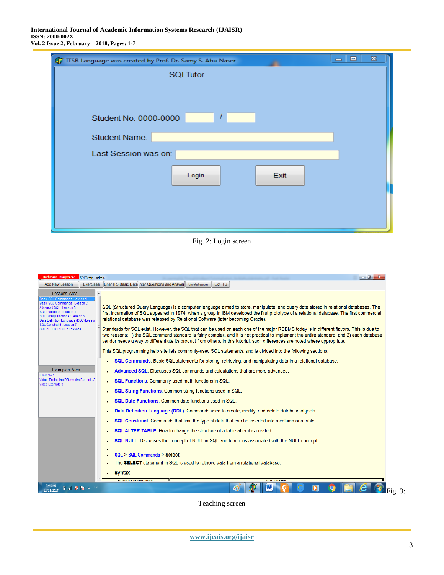| ITSB Language was created by Prof. Dr. Samy S. Abu Naser | $\mathbf{x}$<br>回<br>$\equiv$ |
|----------------------------------------------------------|-------------------------------|
| <b>SQLTutor</b>                                          |                               |
|                                                          |                               |
|                                                          |                               |
| Student No: 0000-0000                                    |                               |
|                                                          |                               |
| <b>Student Name:</b>                                     |                               |
| Last Session was on:                                     |                               |
|                                                          |                               |
| Login<br>Exit                                            |                               |
|                                                          |                               |
|                                                          |                               |
|                                                          |                               |
|                                                          |                               |

Fig. 2: Login screen

| TRichView unregistered<br>SQLTutor - admin                                                                                                                                                                                                             | $-0$                                                                                                                                                                                                                                                                                                                                                                                                                                                                                                                                                                                                                                                                                                                                                                                                                  |
|--------------------------------------------------------------------------------------------------------------------------------------------------------------------------------------------------------------------------------------------------------|-----------------------------------------------------------------------------------------------------------------------------------------------------------------------------------------------------------------------------------------------------------------------------------------------------------------------------------------------------------------------------------------------------------------------------------------------------------------------------------------------------------------------------------------------------------------------------------------------------------------------------------------------------------------------------------------------------------------------------------------------------------------------------------------------------------------------|
| <b>Add New Lesson</b>                                                                                                                                                                                                                                  | Exercises Ener ITS Basic Data inter Questions and Answer Update Lessons<br><b>Exit ITS</b>                                                                                                                                                                                                                                                                                                                                                                                                                                                                                                                                                                                                                                                                                                                            |
| Lessons Area<br>Basic SQL Commands : Lesson 2<br>Advanced SQL : Lesson 3<br><b>SQL Functions: Lesson 4</b><br><b>SQL String Functions: Lesson 5</b><br>Data Definition Language (DDL):Lessor<br>SQL Constraint: Lesson 7<br>SOL ALTER TABLE : Lesson 8 | $\blacktriangle$<br>SQL (Structured Query Language) is a computer language aimed to store, manipulate, and guery data stored in relational databases. The<br>first incarnation of SQL appeared in 1974, when a group in IBM developed the first prototype of a relational database. The first commercial<br>relational database was released by Relational Software (later becoming Oracle).<br>Standards for SQL exist. However, the SQL that can be used on each one of the major RDBMS today is in different flavors. This is due to<br>two reasons: 1) the SQL command standard is fairly complex, and it is not practical to implement the entire standard, and 2) each database<br>vendor needs a way to differentiate its product from others. In this tutorial, such differences are noted where appropriate. |
|                                                                                                                                                                                                                                                        | This SQL programming help site lists commonly-used SQL statements, and is divided into the following sections:                                                                                                                                                                                                                                                                                                                                                                                                                                                                                                                                                                                                                                                                                                        |
|                                                                                                                                                                                                                                                        | SQL Commands: Basic SQL statements for storing, retrieving, and manipulating data in a relational database.                                                                                                                                                                                                                                                                                                                                                                                                                                                                                                                                                                                                                                                                                                           |
| Examples Area                                                                                                                                                                                                                                          | Advanced SQL: Discusses SQL commands and calculations that are more advanced.                                                                                                                                                                                                                                                                                                                                                                                                                                                                                                                                                                                                                                                                                                                                         |
| Example 1<br>Video: Explaining DB sysetm Example 2<br>Video Example 3                                                                                                                                                                                  | SQL Functions: Commonly-used math functions in SQL.                                                                                                                                                                                                                                                                                                                                                                                                                                                                                                                                                                                                                                                                                                                                                                   |
|                                                                                                                                                                                                                                                        | SQL String Functions: Common string functions used in SQL.                                                                                                                                                                                                                                                                                                                                                                                                                                                                                                                                                                                                                                                                                                                                                            |
|                                                                                                                                                                                                                                                        | SQL Date Functions: Common date functions used in SQL.                                                                                                                                                                                                                                                                                                                                                                                                                                                                                                                                                                                                                                                                                                                                                                |
|                                                                                                                                                                                                                                                        | Data Definition Language (DDL): Commands used to create, modify, and delete database objects.                                                                                                                                                                                                                                                                                                                                                                                                                                                                                                                                                                                                                                                                                                                         |
|                                                                                                                                                                                                                                                        | SQL Constraint: Commands that limit the type of data that can be inserted into a column or a table.                                                                                                                                                                                                                                                                                                                                                                                                                                                                                                                                                                                                                                                                                                                   |
|                                                                                                                                                                                                                                                        | SQL ALTER TABLE: How to change the structure of a table after it is created.                                                                                                                                                                                                                                                                                                                                                                                                                                                                                                                                                                                                                                                                                                                                          |
|                                                                                                                                                                                                                                                        | SQL NULL: Discusses the concept of NULL in SQL and functions associated with the NULL concept.                                                                                                                                                                                                                                                                                                                                                                                                                                                                                                                                                                                                                                                                                                                        |
|                                                                                                                                                                                                                                                        | SQL > SQL Commands > Select                                                                                                                                                                                                                                                                                                                                                                                                                                                                                                                                                                                                                                                                                                                                                                                           |
|                                                                                                                                                                                                                                                        | The <b>SELECT</b> statement in SQL is used to retrieve data from a relational database.                                                                                                                                                                                                                                                                                                                                                                                                                                                                                                                                                                                                                                                                                                                               |
|                                                                                                                                                                                                                                                        | <b>Syntax</b>                                                                                                                                                                                                                                                                                                                                                                                                                                                                                                                                                                                                                                                                                                                                                                                                         |
|                                                                                                                                                                                                                                                        | Marchantha and an anti-Marchantha and<br><b>BALL BULLET</b>                                                                                                                                                                                                                                                                                                                                                                                                                                                                                                                                                                                                                                                                                                                                                           |
| PM 1:01<br>自油雙隊 ▲ EN<br>12/18/2017                                                                                                                                                                                                                     | W<br>67<br>Fig                                                                                                                                                                                                                                                                                                                                                                                                                                                                                                                                                                                                                                                                                                                                                                                                        |

Teaching screen

 $3:$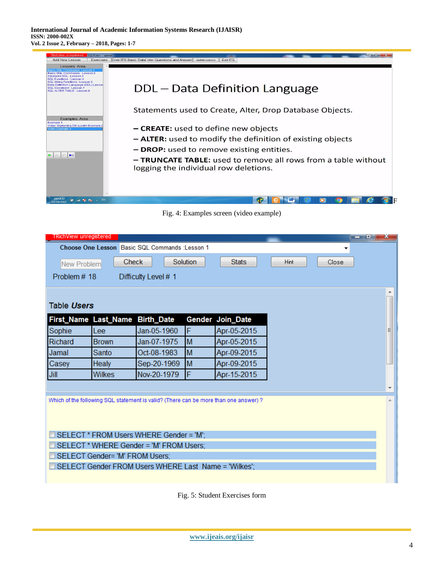**International Journal of Academic Information Systems Research (IJAISR) ISSN: 2000-002X Vol. 2 Issue 2, February – 2018, Pages: 1-7**



Fig. 4: Examples screen (video example)

| TRichView unregistered                                                   |                      |                                         |          |                                                                                      |  |  | <u>r - 195</u><br>x      |  |  |
|--------------------------------------------------------------------------|----------------------|-----------------------------------------|----------|--------------------------------------------------------------------------------------|--|--|--------------------------|--|--|
| Choose One Lesson, Basic SQL Commands : Lesson 1<br>▼                    |                      |                                         |          |                                                                                      |  |  |                          |  |  |
| Solution<br><b>Stats</b><br><b>Check</b><br>Hint<br>Close<br>New Problem |                      |                                         |          |                                                                                      |  |  |                          |  |  |
| Problem# 18<br>Difficulty Level # 1                                      |                      |                                         |          |                                                                                      |  |  |                          |  |  |
|                                                                          |                      |                                         |          |                                                                                      |  |  |                          |  |  |
|                                                                          | Table Users          |                                         |          |                                                                                      |  |  |                          |  |  |
|                                                                          | First_Name Last_Name | <b>Birth_Date</b>                       |          | Gender Join_Date                                                                     |  |  |                          |  |  |
| Sophie                                                                   | Lee                  | Jan-05-1960                             | F        | Apr-05-2015                                                                          |  |  | Ξ                        |  |  |
| Richard                                                                  | <b>Brown</b>         | Jan-07-1975                             | M        | Apr-05-2015                                                                          |  |  |                          |  |  |
| Jamal                                                                    | Santo                | Oct-08-1983                             | M        | Apr-09-2015                                                                          |  |  |                          |  |  |
| Casey                                                                    | <b>Healy</b>         | Sep-20-1969                             | <b>M</b> | Apr-09-2015                                                                          |  |  |                          |  |  |
| Jill                                                                     | <b>Wilkes</b>        | Nov-20-1979                             | lF       | Apr-15-2015                                                                          |  |  |                          |  |  |
|                                                                          |                      |                                         |          |                                                                                      |  |  | $\overline{\phantom{a}}$ |  |  |
|                                                                          |                      |                                         |          | Which of the following SQL statement is valid? (There can be more than one answer) ? |  |  |                          |  |  |
|                                                                          |                      |                                         |          |                                                                                      |  |  |                          |  |  |
|                                                                          |                      |                                         |          |                                                                                      |  |  |                          |  |  |
|                                                                          |                      | SELECT * FROM Users WHERE Gender = 'M'; |          |                                                                                      |  |  |                          |  |  |
| SELECT * WHERE Gender = 'M' FROM Users:                                  |                      |                                         |          |                                                                                      |  |  |                          |  |  |
| SELECT Gender= 'M' FROM Users;                                           |                      |                                         |          |                                                                                      |  |  |                          |  |  |
| SELECT Gender FROM Users WHERE Last Name = 'Wilkes':                     |                      |                                         |          |                                                                                      |  |  |                          |  |  |
|                                                                          |                      |                                         |          |                                                                                      |  |  |                          |  |  |

Fig. 5: Student Exercises form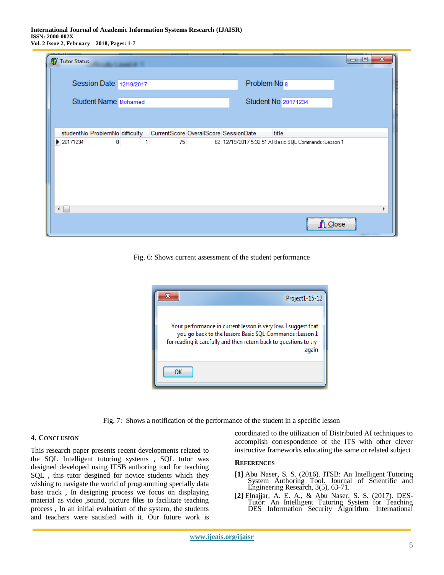#### **International Journal of Academic Information Systems Research (IJAISR) ISSN: 2000-002X Vol. 2 Issue 2, February – 2018, Pages: 1-7**

|   | Tutor Status |                             |                                                                        |                         |                                                        | $\mathbf x$<br>▣<br>$\Box$ |
|---|--------------|-----------------------------|------------------------------------------------------------------------|-------------------------|--------------------------------------------------------|----------------------------|
|   |              | Session Date 12/19/2017     |                                                                        | Problem No <sub>8</sub> |                                                        |                            |
|   |              | <b>Student Name Mohamed</b> |                                                                        |                         | Student No 20171234                                    |                            |
|   |              |                             |                                                                        |                         |                                                        |                            |
|   |              |                             | studentNo ProblemNo difficulty   CurrentScore OverallScore SessionDate |                         | title                                                  |                            |
|   | ▶ 20171234   | 8                           | 75                                                                     |                         | 62 12/19/2017 5:32:51 Al Basic SQL Commands : Lesson 1 |                            |
| ∢ |              |                             |                                                                        |                         |                                                        |                            |
|   |              |                             |                                                                        |                         |                                                        | <b>n</b> Close             |

Fig. 6: Shows current assessment of the student performance



Fig. 7: Shows a notification of the performance of the student in a specific lesson

### **4. CONCLUSION**

This research paper presents recent developments related to the SQL Intelligent tutoring systems , SQL tutor was designed developed using ITSB authoring tool for teaching SQL , this tutor desgined for novice students which they wishing to navigate the world of programming specially data base track , In designing process we focus on displaying material as video ,sound, picture files to facilitate teaching process , In an initial evaluation of the system, the students and teachers were satisfied with it. Our future work is

coordinated to the utilization of Distributed AI techniques to accomplish correspondence of the ITS with other clever instructive frameworks educating the same or related subject

#### **REFERENCES**

- **[1]** Abu Naser, S. S. (2016). ITSB: An Intelligent Tutoring System Authoring Tool. Journal of Scientific and Engineering Research, 3(5), 63-71.
- **[2]** Elnajjar, A. E. A., & Abu Naser, S. S. (2017). DES-Tutor: An Intelligent Tutoring System for Teaching DES Information Security Algorithm. International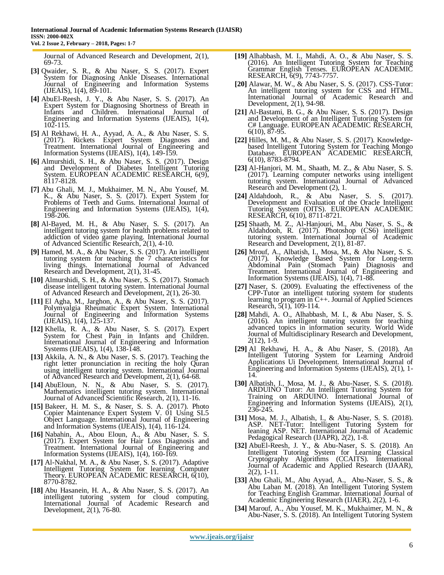Journal of Advanced Research and Development, 2(1), 69-73.

- **[3]** Qwaider, S. R., & Abu Naser, S. S. (2017). Expert System for Diagnosing Ankle Diseases. International Journal of Engineering and Information Systems  $(IIEAIS), 1(4), 89-101.$
- **[4]** AbuEl-Reesh, J. Y., & Abu Naser, S. S. (2017). An Expert System for Diagnosing Shortness of Breath in Infants and Children. International Journal of Engineering and Information Systems (IJEAIS), 1(4),  $10\overline{2} - 115$ .
- **[5]** Al Rekhawi, H. A., Ayyad, A. A., & Abu Naser, S. S. (2017). Rickets Expert System Diagnoses and Treatment. International Journal of Engineering and Information Systems (IJEAIS), 1(4), 149-159.
- **[6]** Almurshidi, S. H., & Abu Naser, S. S. (2017). Design and Development of Diabetes Intelligent Tutoring System. EUROPEAN ACADEMIC RESEARCH, 6(9), 8117-8128.
- **[7]** Abu Ghali, M. J., Mukhaimer, M. N., Abu Yousef, M. K., & Abu Naser, S. S. (2017). Expert System for Problems of Teeth and Gums. International Journal of Engineering and Information Systems (IJEAIS), 1(4), 198-206.
- **[8]** Al-Bayed, M. H., & Abu Naser, S. S. (2017). An intelligent tutoring system for health problems related to addiction of video game playing. International Journal of Advanced Scientific Research, 2(1), 4-10.
- **[9]** Hamed, M. A., & Abu Naser, S. S. (2017). An intelligent tutoring system for teaching the 7 characteristics for living things. International Journal of Advanced Research and Development, 2(1), 31-45.
- **[10]** Almurshidi, S. H., & Abu Naser, S. S. (2017). Stomach disease intelligent tutoring system. International Journal of Advanced Research and Development, 2(1), 26-30.
- **[11]** El Agha, M., Jarghon, A., & Abu Naser, S. S. (2017). Polymyalgia Rheumatic Expert System. International Journal of Engineering and Information Systems (IJEAIS), 1(4), 125-137.
- **[12]** Khella, R. A., & Abu Naser, S. S. (2017). Expert System for Chest Pain in Infants and Children. International Journal of Engineering and Information Systems (IJEAIS), 1(4), 138-148.
- **[13]** Akkila, A. N., & Abu Naser, S. S. (2017). Teaching the right letter pronunciation in reciting the holy Quran using intelligent tutoring system. International Journal of Advanced Research and Development, 2(1), 64-68.
- **[14]** AbuEloun, N. N., & Abu Naser, S. S. (2017). Mathematics intelligent tutoring system. International Journal of Advanced Scientific Research, 2(1), 11-16.
- **[15]** Bakeer, H. M. S., & Naser, S. S. A. (2017). Photo Copier Maintenance Expert System V. 01 Using SL5 Object Language. International Journal of Engineering and Information Systems (IJEAIS), 1(4), 116-124.
- **[16]** Nabahin, A., Abou Eloun, A., & Abu Naser, S. S. (2017). Expert System for Hair Loss Diagnosis and Treatment. International Journal of Engineering and Information Systems (IJEAIS), 1(4), 160-169.
- **[17]** Al-Nakhal, M. A., & Abu Naser, S. S. (2017). Adaptive Intelligent Tutoring System for learning Computer Theory. EUROPEAN ACADEMIC RESEARCH, 6(10), 8770-8782.
- **[18]** Abu Hasanein, H. A., & Abu Naser, S. S. (2017). An intelligent tutoring system for cloud computing. International Journal of Academic Research and Development, 2(1), 76-80.
- **[19]** Alhabbash, M. I., Mahdi, A. O., & Abu Naser, S. S. (2016). An Intelligent Tutoring System for Teaching Grammar English Tenses. EUROPEAN ACADEMIC RESEARCH, 6(9), 7743-7757.
- **[20]** Alawar, M. W., & Abu Naser, S. S. (2017). CSS-Tutor: An intelligent tutoring system for CSS and HTML. International Journal of Academic Research and Development, 2(1), 94-98.
- **[21]** Al-Bastami, B. G., & Abu Naser, S. S. (2017). Design and Development of an Intelligent Tutoring System for C# Language. EUROPEAN ACADEMIC RESEARCH, 6(10), 87-95.
- **[22]** Hilles, M. M., & Abu Naser, S. S. (2017). Knowledgebased Intelligent Tutoring System for Teaching Mongo Database. EUROPEAN ACADEMIC RESEARCH, 6(10), 8783-8794.
- **[23]** Al-Hanjori, M. M., Shaath, M. Z., & Abu Naser, S. S. (2017). Learning computer networks using intelligent tutoring system. International Journal of Advanced Research and Development (2), 1.
- **[24]** Aldahdooh, R., & Abu Naser, S. S. (2017). Development and Evaluation of the Oracle Intelligent Tutoring System (OITS). EUROPEAN ACADEMIC RESEARCH, 6(10), 8711-8721.
- **[25]** Shaath, M. Z., Al-Hanjouri, M., Abu Naser, S. S., & Aldahdooh, R. (2017). Photoshop (CS6) intelligent tutoring system. International Journal of Academic Research and Development, 2(1), 81-87.
- **[26]** Mrouf, A., Albatish, I., Mosa, M., & Abu Naser, S. S. (2017). Knowledge Based System for Long-term Abdominal Pain (Stomach Pain) Diagnosis and Treatment. International Journal of Engineering and Information Systems (IJEAIS), 1(4), 71-88.
- **[27]** Naser, S. (2009). Evaluating the effectiveness of the CPP-Tutor an intelligent tutoring system for students learning to program in C++. Journal of Applied Sciences Research, 5(1), 109-114.
- **[28]** Mahdi, A. O., Alhabbash, M. I., & Abu Naser, S. S. (2016). An intelligent tutoring system for teaching advanced topics in information security. World Wide Journal of Multidisciplinary Research and Development, 2(12), 1-9.
- **[29]** Al Rekhawi, H. A., & Abu Naser, S. (2018). An Intelligent Tutoring System for Learning Android Applications Ui Development. International Journal of Engineering and Information Systems (IJEAIS), 2(1), 1- 14.
- **[30]** Albatish, I., Mosa, M. J., & Abu-Naser, S. S. (2018). ARDUINO Tutor: An Intelligent Tutoring System for Training on ARDUINO. International Journal of Engineering and Information Systems (IJEAIS), 2(1), 236-245.
- **[31]** Mosa, M. J., Albatish, I., & Abu-Naser, S. S. (2018). ASP. NET-Tutor: Intelligent Tutoring System for leaning ASP. NET. International Journal of Academic Pedagogical Research (IJAPR), 2(2), 1-8.
- **[32]** AbuEl-Reesh, J. Y., & Abu-Naser, S. S. (2018). An Intelligent Tutoring System for Learning Classical Cryptography Algorithms (CCAITS). International Journal of Academic and Applied Research (IJAAR), 2(2), 1-11.
- **[33]** Abu Ghali, M., Abu Ayyad, A., Abu-Naser, S. S., & Abu Laban M. (2018). An Intelligent Tutoring System for Teaching English Grammar. International Journal of Academic Engineering Research (IJAER), 2(2), 1-6.
- **[34]** Marouf, A., Abu Yousef, M. K., Mukhaimer, M. N., & Abu-Naser, S. S. (2018). An Intelligent Tutoring System